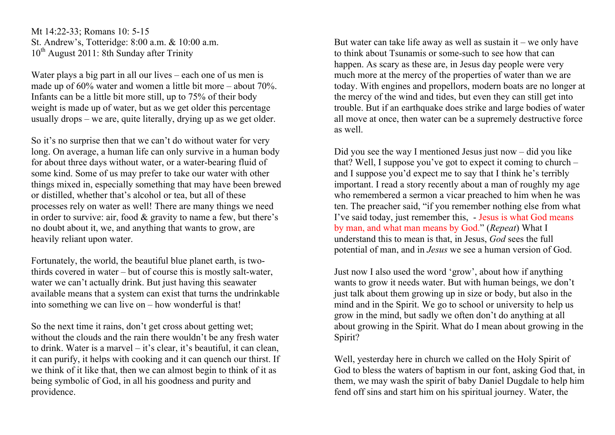Mt 14:22-33; Romans 10: 5-15 St. Andrew's, Totteridge: 8:00 a.m. & 10:00 a.m.  $10^{th}$  August 2011: 8th Sunday after Trinity

Water plays a big part in all our lives – each one of us men is made up of 60% water and women a little bit more – about 70%. Infants can be a little bit more still, up to 75% of their body weight is made up of water, but as we get older this percentage usually drops – we are, quite literally, drying up as we get older.

So it's no surprise then that we can't do without water for very long. On average, a human life can only survive in a human body for about three days without water, or a water-bearing fluid of some kind. Some of us may prefer to take our water with other things mixed in, especially something that may have been brewed or distilled, whether that's alcohol or tea, but all of these processes rely on water as well! There are many things we need in order to survive: air, food & gravity to name a few, but there's no doubt about it, we, and anything that wants to grow, are heavily reliant upon water.

Fortunately, the world, the beautiful blue planet earth, is twothirds covered in water – but of course this is mostly salt-water, water we can't actually drink. But just having this seawater available means that a system can exist that turns the undrinkable into something we can live on – how wonderful is that!

So the next time it rains, don't get cross about getting wet; without the clouds and the rain there wouldn't be any fresh water to drink. Water is a marvel – it's clear, it's beautiful, it can clean, it can purify, it helps with cooking and it can quench our thirst. If we think of it like that, then we can almost begin to think of it as being symbolic of God, in all his goodness and purity and providence.

But water can take life away as well as sustain it – we only have to think about Tsunamis or some-such to see how that can happen. As scary as these are, in Jesus day people were very much more at the mercy of the properties of water than we are today. With engines and propellors, modern boats are no longer at the mercy of the wind and tides, but even they can still get into trouble. But if an earthquake does strike and large bodies of water all move at once, then water can be a supremely destructive force as well.

Did you see the way I mentioned Jesus just now – did you like that? Well, I suppose you've got to expect it coming to church – and I suppose you'd expect me to say that I think he's terribly important. I read a story recently about a man of roughly my age who remembered a sermon a vicar preached to him when he was ten. The preacher said, "if you remember nothing else from what I've said today, just remember this, - Jesus is what God means by man, and what man means by God." (*Repeat*) What I understand this to mean is that, in Jesus, *God* sees the full potential of man, and in *Jesus* we see a human version of God.

Just now I also used the word 'grow', about how if anything wants to grow it needs water. But with human beings, we don't just talk about them growing up in size or body, but also in the mind and in the Spirit. We go to school or university to help us grow in the mind, but sadly we often don't do anything at all about growing in the Spirit. What do I mean about growing in the Spirit?

Well, yesterday here in church we called on the Holy Spirit of God to bless the waters of baptism in our font, asking God that, in them, we may wash the spirit of baby Daniel Dugdale to help him fend off sins and start him on his spiritual journey. Water, the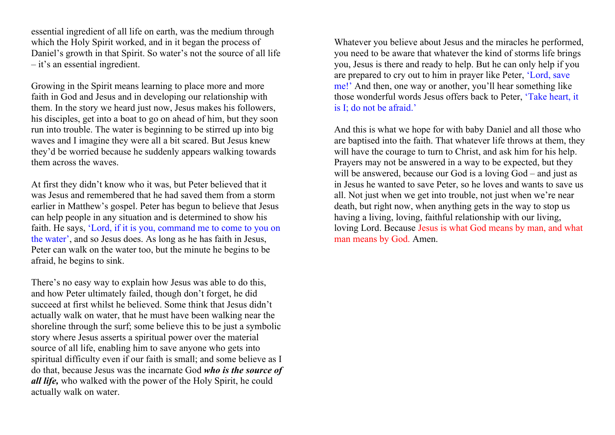essential ingredient of all life on earth, was the medium through which the Holy Spirit worked, and in it began the process of Daniel's growth in that Spirit. So water's not the source of all life – it's an essential ingredient.

Growing in the Spirit means learning to place more and more faith in God and Jesus and in developing our relationship with them. In the story we heard just now, Jesus makes his followers, his disciples, get into a boat to go on ahead of him, but they soon run into trouble. The water is beginning to be stirred up into big waves and I imagine they were all a bit scared. But Jesus knew they'd be worried because he suddenly appears walking towards them across the waves.

At first they didn't know who it was, but Peter believed that it was Jesus and remembered that he had saved them from a storm earlier in Matthew's gospel. Peter has begun to believe that Jesus can help people in any situation and is determined to show his faith. He says, 'Lord, if it is you, command me to come to you on the water', and so Jesus does. As long as he has faith in Jesus, Peter can walk on the water too, but the minute he begins to be afraid, he begins to sink.

There's no easy way to explain how Jesus was able to do this, and how Peter ultimately failed, though don't forget, he did succeed at first whilst he believed. Some think that Jesus didn't actually walk on water, that he must have been walking near the shoreline through the surf; some believe this to be just a symbolic story where Jesus asserts a spiritual power over the material source of all life, enabling him to save anyone who gets into spiritual difficulty even if our faith is small; and some believe as I do that, because Jesus was the incarnate God *who is the source of all life,* who walked with the power of the Holy Spirit, he could actually walk on water.

Whatever you believe about Jesus and the miracles he performed, you need to be aware that whatever the kind of storms life brings you, Jesus is there and ready to help. But he can only help if you are prepared to cry out to him in prayer like Peter, 'Lord, save me!' And then, one way or another, you'll hear something like those wonderful words Jesus offers back to Peter, 'Take heart, it is I; do not be afraid.'

And this is what we hope for with baby Daniel and all those who are baptised into the faith. That whatever life throws at them, they will have the courage to turn to Christ, and ask him for his help. Prayers may not be answered in a way to be expected, but they will be answered, because our God is a loving God – and just as in Jesus he wanted to save Peter, so he loves and wants to save us all. Not just when we get into trouble, not just when we're near death, but right now, when anything gets in the way to stop us having a living, loving, faithful relationship with our living, loving Lord. Because Jesus is what God means by man, and what man means by God. Amen.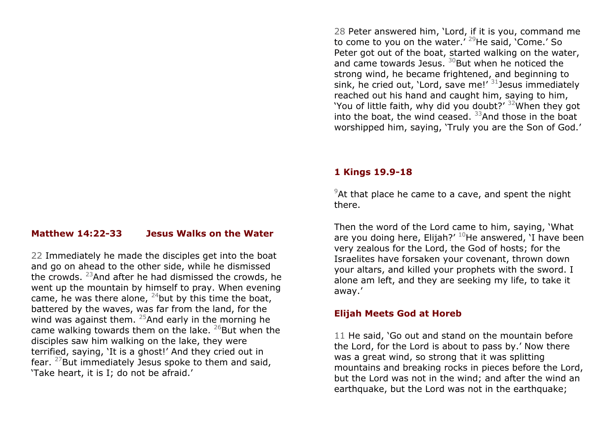# **Matthew 14:22-33 Jesus Walks on the Water**

22 Immediately he made the disciples get into the boat and go on ahead to the other side, while he dismissed the crowds. <sup>23</sup>And after he had dismissed the crowds, he went up the mountain by himself to pray. When evening came, he was there alone,  $^{24}$ but by this time the boat, battered by the waves, was far from the land, for the wind was against them.  $25$ And early in the morning he came walking towards them on the lake.  $^{26}$ But when the disciples saw him walking on the lake, they were terrified, saying, 'It is a ghost!' And they cried out in fear.  $27$ But immediately Jesus spoke to them and said, 'Take heart, it is I; do not be afraid.'

28 Peter answered him, 'Lord, if it is you, command me to come to you on the water.<sup>' 29</sup>He said, 'Come.' So Peter got out of the boat, started walking on the water, and came towards Jesus.  $30$ But when he noticed the strong wind, he became frightened, and beginning to sink, he cried out, 'Lord, save me!'  $31$  Jesus immediately reached out his hand and caught him, saying to him, 'You of little faith, why did you doubt?'  $32$ When they got into the boat, the wind ceased.  $33$ And those in the boat worshipped him, saying, 'Truly you are the Son of God.'

### **1 Kings 19.9-18**

 $9$ At that place he came to a cave, and spent the night there.

Then the word of the Lord came to him, saying, 'What are you doing here, Elijah?'  $10$ He answered, 'I have been very zealous for the Lord, the God of hosts; for the Israelites have forsaken your covenant, thrown down your altars, and killed your prophets with the sword. I alone am left, and they are seeking my life, to take it away.'

### **Elijah Meets God at Horeb**

11 He said, 'Go out and stand on the mountain before the Lord, for the Lord is about to pass by.' Now there was a great wind, so strong that it was splitting mountains and breaking rocks in pieces before the Lord, but the Lord was not in the wind; and after the wind an earthquake, but the Lord was not in the earthquake;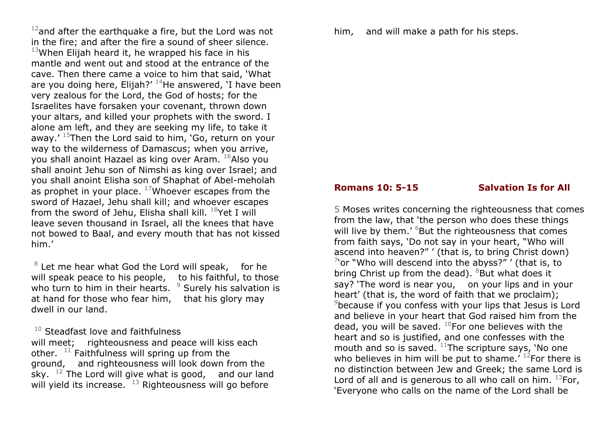$12$ and after the earthquake a fire, but the Lord was not in the fire; and after the fire a sound of sheer silence.  $13$ When Elijah heard it, he wrapped his face in his mantle and went out and stood at the entrance of the cave. Then there came a voice to him that said, 'What are you doing here, Elijah?'  $14$ He answered, 'I have been very zealous for the Lord, the God of hosts; for the Israelites have forsaken your covenant, thrown down your altars, and killed your prophets with the sword. I alone am left, and they are seeking my life, to take it away.'  $15$ Then the Lord said to him, 'Go, return on your way to the wilderness of Damascus; when you arrive, you shall anoint Hazael as king over Aram. <sup>16</sup>Also you shall anoint Jehu son of Nimshi as king over Israel; and you shall anoint Elisha son of Shaphat of Abel-meholah as prophet in your place.  $17$ Whoever escapes from the sword of Hazael, Jehu shall kill; and whoever escapes from the sword of Jehu, Elisha shall kill.  $^{18}$ Yet I will leave seven thousand in Israel, all the knees that have not bowed to Baal, and every mouth that has not kissed him.'

 $8$  Let me hear what God the Lord will speak, for he will speak peace to his people, to his faithful, to those who turn to him in their hearts.  $9$  Surely his salvation is at hand for those who fear him, that his glory may dwell in our land.

 $10$  Steadfast love and faithfulness will meet; righteousness and peace will kiss each other.  $11$  Faithfulness will spring up from the ground, and righteousness will look down from the sky.  $12$  The Lord will give what is good, and our land will yield its increase.  $13$  Righteousness will go before

him, and will make a path for his steps.

## **Romans 10: 5-15** Salvation Is for All

5 Moses writes concerning the righteousness that comes from the law, that 'the person who does these things will live by them.' <sup>6</sup>But the righteousness that comes from faith says, 'Do not say in your heart, "Who will ascend into heaven?" ' (that is, to bring Christ down)  $\frac{7}{1}$ 'or "Who will descend into the abyss?" ' (that is, to bring Christ up from the dead).  $88$ But what does it say? 'The word is near you, on your lips and in your heart' (that is, the word of faith that we proclaim); <sup>9</sup>because if you confess with your lips that Jesus is Lord and believe in your heart that God raised him from the dead, you will be saved.  $^{10}$ For one believes with the heart and so is justified, and one confesses with the mouth and so is saved.  $11$ The scripture says, 'No one who believes in him will be put to shame.<sup> $12$ </sup>For there is no distinction between Jew and Greek; the same Lord is Lord of all and is generous to all who call on him.  $^{13}$ For, 'Everyone who calls on the name of the Lord shall be